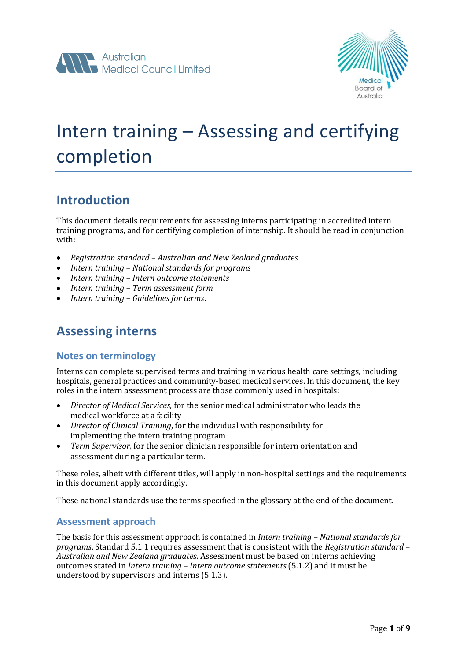



# Intern training – Assessing and certifying completion

### **Introduction**

This document details requirements for assessing interns participating in accredited intern training programs, and for certifying completion of internship. It should be read in conjunction with:

- *Registration standard – Australian and New Zealand graduates*
- *Intern training – National standards for programs*
- *Intern training – Intern outcome statements*
- *Intern training – Term assessment form*
- *Intern training – Guidelines for terms*.

# **Assessing interns**

### **Notes on terminology**

Interns can complete supervised terms and training in various health care settings, including hospitals, general practices and community-based medical services. In this document, the key roles in the intern assessment process are those commonly used in hospitals:

- *Director of Medical Services*, for the senior medical administrator who leads the medical workforce at a facility
- *Director of Clinical Training*, for the individual with responsibility for implementing the intern training program
- *Term Supervisor*, for the senior clinician responsible for intern orientation and assessment during a particular term.

These roles, albeit with different titles, will apply in non-hospital settings and the requirements in this document apply accordingly.

These national standards use the terms specified in the glossary at the end of the document.

#### **Assessment approach**

The basis for this assessment approach is contained in *Intern training – National standards for programs*. Standard 5.1.1 requires assessment that is consistent with the *Registration standard – Australian and New Zealand graduates*. Assessment must be based on interns achieving outcomes stated in *Intern training – Intern outcome statements* (5.1.2) and it must be understood by supervisors and interns (5.1.3).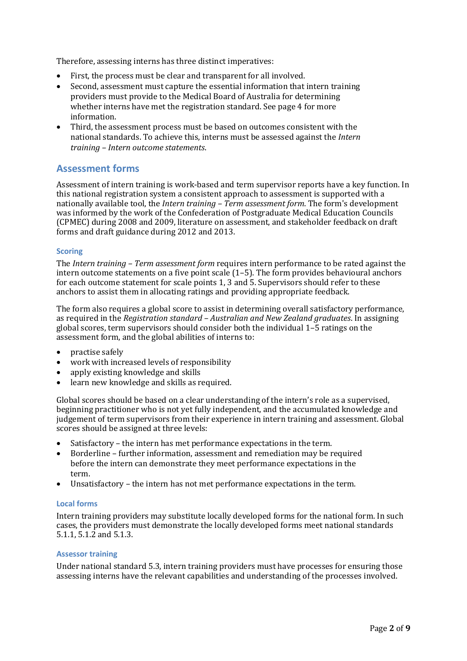Therefore, assessing interns has three distinct imperatives:

- First, the process must be clear and transparent for all involved.
- Second, assessment must capture the essential information that intern training providers must provide to the Medical Board of Australia for determining whether interns have met the registration standard. See page 4 for more information.
- Third, the assessment process must be based on outcomes consistent with the national standards. To achieve this, interns must be assessed against the *Intern training – Intern outcome statements*.

### **Assessment forms**

Assessment of intern training is work-based and term supervisor reports have a key function. In this national registration system a consistent approach to assessment is supported with a nationally available tool, the *Intern training – Term assessment form*. The form's development was informed by the work of the Confederation of Postgraduate Medical Education Councils (CPMEC) during 2008 and 2009, literature on assessment, and stakeholder feedback on draft forms and draft guidance during 2012 and 2013.

#### **Scoring**

The *Intern training – Term assessment form* requires intern performance to be rated against the intern outcome statements on a five point scale (1–5). The form provides behavioural anchors for each outcome statement for scale points 1, 3 and 5. Supervisors should refer to these anchors to assist them in allocating ratings and providing appropriate feedback.

The form also requires a global score to assist in determining overall satisfactory performance, as required in the *Registration standard – Australian and New Zealand graduates*. In assigning global scores, term supervisors should consider both the individual 1–5 ratings on the assessment form, and the global abilities of interns to:

- practise safely
- work with increased levels of responsibility
- apply existing knowledge and skills
- learn new knowledge and skills as required.

Global scores should be based on a clear understanding of the intern's role as a supervised, beginning practitioner who is not yet fully independent, and the accumulated knowledge and judgement of term supervisors from their experience in intern training and assessment. Global scores should be assigned at three levels:

- Satisfactory the intern has met performance expectations in the term.
- Borderline further information, assessment and remediation may be required before the intern can demonstrate they meet performance expectations in the term.
- Unsatisfactory the intern has not met performance expectations in the term.

#### **Local forms**

Intern training providers may substitute locally developed forms for the national form. In such cases, the providers must demonstrate the locally developed forms meet national standards 5.1.1, 5.1.2 and 5.1.3.

#### **Assessor training**

Under national standard 5.3, intern training providers must have processes for ensuring those assessing interns have the relevant capabilities and understanding of the processes involved.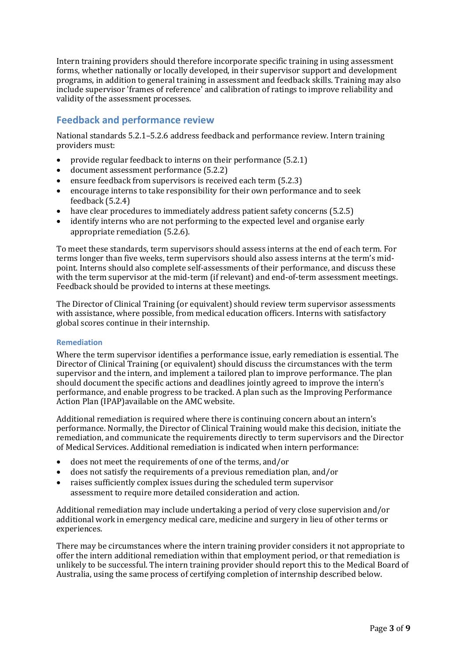Intern training providers should therefore incorporate specific training in using assessment forms, whether nationally or locally developed, in their supervisor support and development programs, in addition to general training in assessment and feedback skills. Training may also include supervisor 'frames of reference' and calibration of ratings to improve reliability and validity of the assessment processes.

### **Feedback and performance review**

National standards 5.2.1–5.2.6 address feedback and performance review. Intern training providers must:

- provide regular feedback to interns on their performance (5.2.1)
- document assessment performance (5.2.2)
- ensure feedback from supervisors is received each term (5.2.3)
- encourage interns to take responsibility for their own performance and to seek feedback (5.2.4)
- have clear procedures to immediately address patient safety concerns (5.2.5)
- identify interns who are not performing to the expected level and organise early appropriate remediation (5.2.6).

To meet these standards, term supervisors should assess interns at the end of each term. For terms longer than five weeks, term supervisors should also assess interns at the term's midpoint. Interns should also complete self-assessments of their performance, and discuss these with the term supervisor at the mid-term (if relevant) and end-of-term assessment meetings. Feedback should be provided to interns at these meetings.

The Director of Clinical Training (or equivalent) should review term supervisor assessments with assistance, where possible, from medical education officers. Interns with satisfactory global scores continue in their internship.

#### **Remediation**

Where the term supervisor identifies a performance issue, early remediation is essential. The Director of Clinical Training (or equivalent) should discuss the circumstances with the term supervisor and the intern, and implement a tailored plan to improve performance. The plan should document the specific actions and deadlines jointly agreed to improve the intern's performance, and enable progress to be tracked. A plan such as the Improving Performance Action Plan (IPAP)available on the AMC website.

Additional remediation is required where there is continuing concern about an intern's performance. Normally, the Director of Clinical Training would make this decision, initiate the remediation, and communicate the requirements directly to term supervisors and the Director of Medical Services. Additional remediation is indicated when intern performance:

- does not meet the requirements of one of the terms, and/or
- does not satisfy the requirements of a previous remediation plan, and/or
- raises sufficiently complex issues during the scheduled term supervisor assessment to require more detailed consideration and action.

Additional remediation may include undertaking a period of very close supervision and/or additional work in emergency medical care, medicine and surgery in lieu of other terms or experiences.

There may be circumstances where the intern training provider considers it not appropriate to offer the intern additional remediation within that employment period, or that remediation is unlikely to be successful. The intern training provider should report this to the Medical Board of Australia, using the same process of certifying completion of internship described below.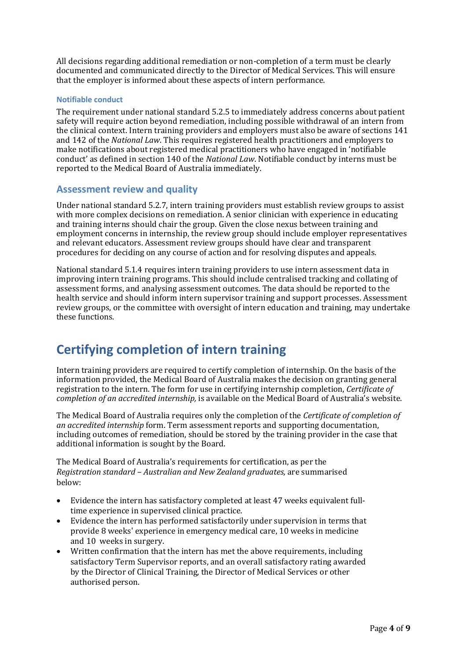All decisions regarding additional remediation or non-completion of a term must be clearly documented and communicated directly to the Director of Medical Services. This will ensure that the employer is informed about these aspects of intern performance.

#### **Notifiable conduct**

The requirement under national standard 5.2.5 to immediately address concerns about patient safety will require action beyond remediation, including possible withdrawal of an intern from the clinical context. Intern training providers and employers must also be aware of sections 141 and 142 of the *National Law*. This requires registered health practitioners and employers to make notifications about registered medical practitioners who have engaged in 'notifiable conduct' as defined in section 140 of the *National Law*. Notifiable conduct by interns must be reported to the Medical Board of Australia immediately.

### **Assessment review and quality**

Under national standard 5.2.7, intern training providers must establish review groups to assist with more complex decisions on remediation. A senior clinician with experience in educating and training interns should chair the group. Given the close nexus between training and employment concerns in internship, the review group should include employer representatives and relevant educators. Assessment review groups should have clear and transparent procedures for deciding on any course of action and for resolving disputes and appeals.

National standard 5.1.4 requires intern training providers to use intern assessment data in improving intern training programs. This should include centralised tracking and collating of assessment forms, and analysing assessment outcomes. The data should be reported to the health service and should inform intern supervisor training and support processes. Assessment review groups, or the committee with oversight of intern education and training, may undertake these functions.

## **Certifying completion of intern training**

Intern training providers are required to certify completion of internship. On the basis of the information provided, the Medical Board of Australia makes the decision on granting general registration to the intern. The form for use in certifying internship completion, *Certificate of completion of an accredited internship,* is available on the Medical Board of Australia's website.

The Medical Board of Australia requires only the completion of the *Certificate of completion of an accredited internship* form. Term assessment reports and supporting documentation, including outcomes of remediation, should be stored by the training provider in the case that additional information is sought by the Board.

The Medical Board of Australia's requirements for certification, as per the *Registration standard – Australian and New Zealand graduates,* are summarised below:

- Evidence the intern has satisfactory completed at least 47 weeks equivalent fulltime experience in supervised clinical practice.
- Evidence the intern has performed satisfactorily under supervision in terms that provide 8 weeks' experience in emergency medical care, 10 weeks in medicine and 10 weeks in surgery.
- Written confirmation that the intern has met the above requirements, including satisfactory Term Supervisor reports, and an overall satisfactory rating awarded by the Director of Clinical Training, the Director of Medical Services or other authorised person.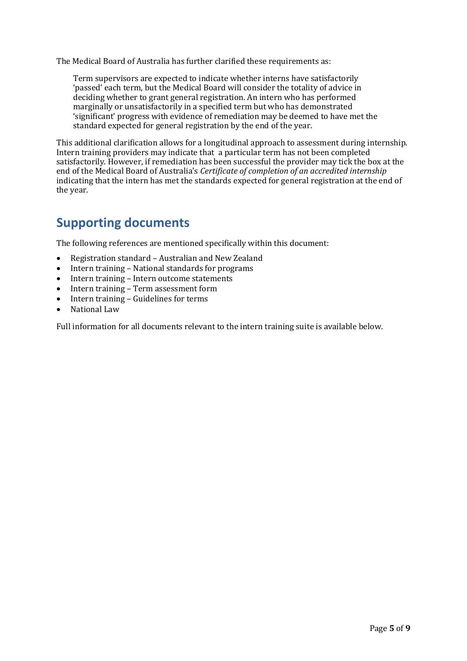The Medical Board of Australia has further clarified these requirements as:

Term supervisors are expected to indicate whether interns have satisfactorily 'passed' each term, but the Medical Board will consider the totality of advice in deciding whether to grant general registration. An intern who has performed marginally or unsatisfactorily in a specified term but who has demonstrated 'significant' progress with evidence of remediation may be deemed to have met the standard expected for general registration by the end of the year.

This additional clarification allows for a longitudinal approach to assessment during internship. Intern training providers may indicate that a particular term has not been completed satisfactorily. However, if remediation has been successful the provider may tick the box at the end of the Medical Board of Australia's *Certificate of completion of an accredited internship*  indicating that the intern has met the standards expected for general registration at the end of the year.

### **Supporting documents**

The following references are mentioned specifically within this document:

- Registration standard Australian and New Zealand
- Intern training National standards for programs
- Intern training Intern outcome statements
- Intern training Term assessment form
- Intern training Guidelines for terms
- National Law

Full information for all documents relevant to the intern training suite is available below.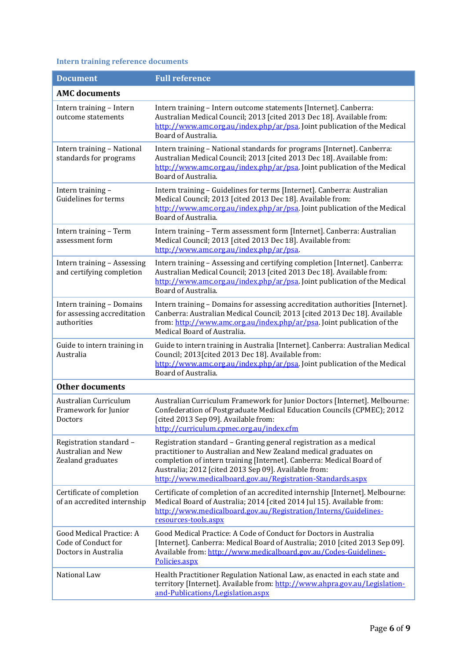### **Intern training reference documents**

| <b>Document</b>                                                           | <b>Full reference</b>                                                                                                                                                                                                                                                                                                               |  |
|---------------------------------------------------------------------------|-------------------------------------------------------------------------------------------------------------------------------------------------------------------------------------------------------------------------------------------------------------------------------------------------------------------------------------|--|
| <b>AMC</b> documents                                                      |                                                                                                                                                                                                                                                                                                                                     |  |
| Intern training - Intern<br>outcome statements                            | Intern training - Intern outcome statements [Internet]. Canberra:<br>Australian Medical Council; 2013 [cited 2013 Dec 18]. Available from:<br>http://www.amc.org.au/index.php/ar/psa. Joint publication of the Medical<br>Board of Australia.                                                                                       |  |
| Intern training - National<br>standards for programs                      | Intern training - National standards for programs [Internet]. Canberra:<br>Australian Medical Council; 2013 [cited 2013 Dec 18]. Available from:<br>http://www.amc.org.au/index.php/ar/psa. Joint publication of the Medical<br>Board of Australia.                                                                                 |  |
| Intern training -<br>Guidelines for terms                                 | Intern training - Guidelines for terms [Internet]. Canberra: Australian<br>Medical Council; 2013 [cited 2013 Dec 18]. Available from:<br>http://www.amc.org.au/index.php/ar/psa. Joint publication of the Medical<br>Board of Australia.                                                                                            |  |
| Intern training - Term<br>assessment form                                 | Intern training - Term assessment form [Internet]. Canberra: Australian<br>Medical Council; 2013 [cited 2013 Dec 18]. Available from:<br>http://www.amc.org.au/index.php/ar/psa.                                                                                                                                                    |  |
| Intern training - Assessing<br>and certifying completion                  | Intern training - Assessing and certifying completion [Internet]. Canberra:<br>Australian Medical Council; 2013 [cited 2013 Dec 18]. Available from:<br>http://www.amc.org.au/index.php/ar/psa. Joint publication of the Medical<br>Board of Australia.                                                                             |  |
| Intern training - Domains<br>for assessing accreditation<br>authorities   | Intern training - Domains for assessing accreditation authorities [Internet].<br>Canberra: Australian Medical Council; 2013 [cited 2013 Dec 18]. Available<br>from: http://www.amc.org.au/index.php/ar/psa. Joint publication of the<br>Medical Board of Australia.                                                                 |  |
| Guide to intern training in<br>Australia                                  | Guide to intern training in Australia [Internet]. Canberra: Australian Medical<br>Council; 2013 [cited 2013 Dec 18]. Available from:<br>http://www.amc.org.au/index.php/ar/psa. Joint publication of the Medical<br>Board of Australia.                                                                                             |  |
| <b>Other documents</b>                                                    |                                                                                                                                                                                                                                                                                                                                     |  |
| Australian Curriculum<br>Framework for Junior<br>Doctors                  | Australian Curriculum Framework for Junior Doctors [Internet]. Melbourne:<br>Confederation of Postgraduate Medical Education Councils (CPMEC); 2012<br>[cited 2013 Sep 09]. Available from:<br>http://curriculum.cpmec.org.au/index.cfm                                                                                             |  |
| Registration standard -<br><b>Australian and New</b><br>Zealand graduates | Registration standard - Granting general registration as a medical<br>practitioner to Australian and New Zealand medical graduates on<br>completion of intern training [Internet]. Canberra: Medical Board of<br>Australia; 2012 [cited 2013 Sep 09]. Available from:<br>http://www.medicalboard.gov.au/Registration-Standards.aspx |  |
| Certificate of completion<br>of an accredited internship                  | Certificate of completion of an accredited internship [Internet]. Melbourne:<br>Medical Board of Australia; 2014 [cited 2014 Jul 15]. Available from:<br>http://www.medicalboard.gov.au/Registration/Interns/Guidelines-<br>resources-tools.aspx                                                                                    |  |
| Good Medical Practice: A<br>Code of Conduct for<br>Doctors in Australia   | Good Medical Practice: A Code of Conduct for Doctors in Australia<br>[Internet]. Canberra: Medical Board of Australia; 2010 [cited 2013 Sep 09].<br>Available from: http://www.medicalboard.gov.au/Codes-Guidelines-<br>Policies.aspx                                                                                               |  |
| National Law                                                              | Health Practitioner Regulation National Law, as enacted in each state and<br>territory [Internet]. Available from: http://www.ahpra.gov.au/Legislation-<br>and-Publications/Legislation.aspx                                                                                                                                        |  |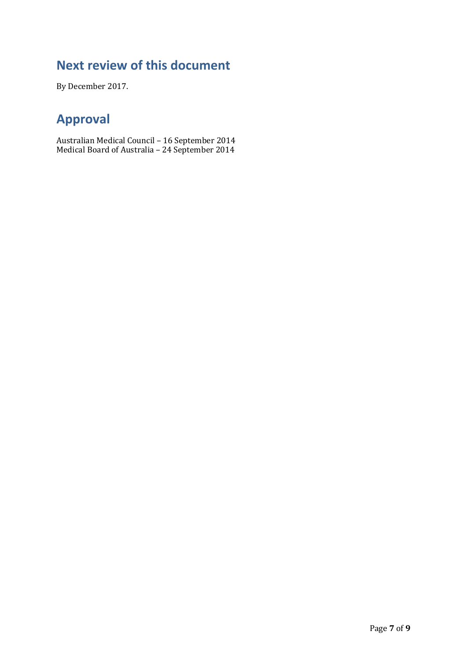# **Next review of this document**

By December 2017.

# **Approval**

Australian Medical Council – 16 September 2014 Medical Board of Australia – 24 September 2014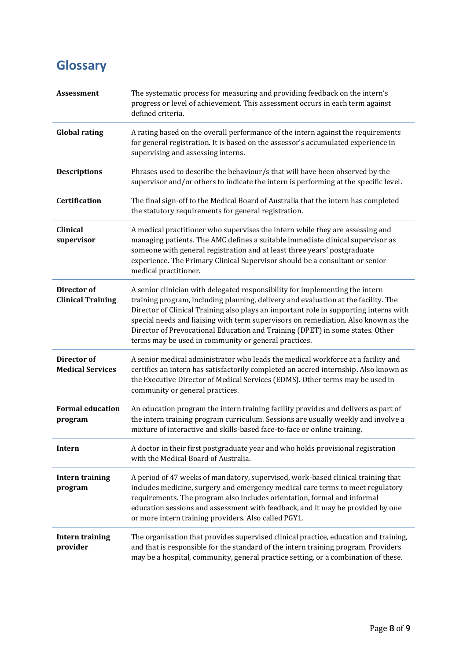# **Glossary**

| <b>Assessment</b>                       | The systematic process for measuring and providing feedback on the intern's<br>progress or level of achievement. This assessment occurs in each term against<br>defined criteria.                                                                                                                                                                                                                                                                                                          |
|-----------------------------------------|--------------------------------------------------------------------------------------------------------------------------------------------------------------------------------------------------------------------------------------------------------------------------------------------------------------------------------------------------------------------------------------------------------------------------------------------------------------------------------------------|
| <b>Global rating</b>                    | A rating based on the overall performance of the intern against the requirements<br>for general registration. It is based on the assessor's accumulated experience in<br>supervising and assessing interns.                                                                                                                                                                                                                                                                                |
| <b>Descriptions</b>                     | Phrases used to describe the behaviour/s that will have been observed by the<br>supervisor and/or others to indicate the intern is performing at the specific level.                                                                                                                                                                                                                                                                                                                       |
| Certification                           | The final sign-off to the Medical Board of Australia that the intern has completed<br>the statutory requirements for general registration.                                                                                                                                                                                                                                                                                                                                                 |
| <b>Clinical</b><br>supervisor           | A medical practitioner who supervises the intern while they are assessing and<br>managing patients. The AMC defines a suitable immediate clinical supervisor as<br>someone with general registration and at least three years' postgraduate<br>experience. The Primary Clinical Supervisor should be a consultant or senior<br>medical practitioner.                                                                                                                                       |
| Director of<br><b>Clinical Training</b> | A senior clinician with delegated responsibility for implementing the intern<br>training program, including planning, delivery and evaluation at the facility. The<br>Director of Clinical Training also plays an important role in supporting interns with<br>special needs and liaising with term supervisors on remediation. Also known as the<br>Director of Prevocational Education and Training (DPET) in some states. Other<br>terms may be used in community or general practices. |
| Director of<br><b>Medical Services</b>  | A senior medical administrator who leads the medical workforce at a facility and<br>certifies an intern has satisfactorily completed an accred internship. Also known as<br>the Executive Director of Medical Services (EDMS). Other terms may be used in<br>community or general practices.                                                                                                                                                                                               |
| <b>Formal education</b><br>program      | An education program the intern training facility provides and delivers as part of<br>the intern training program curriculum. Sessions are usually weekly and involve a<br>mixture of interactive and skills-based face-to-face or online training.                                                                                                                                                                                                                                        |
| <b>Intern</b>                           | A doctor in their first postgraduate year and who holds provisional registration<br>with the Medical Board of Australia.                                                                                                                                                                                                                                                                                                                                                                   |
| <b>Intern training</b><br>program       | A period of 47 weeks of mandatory, supervised, work-based clinical training that<br>includes medicine, surgery and emergency medical care terms to meet regulatory<br>requirements. The program also includes orientation, formal and informal<br>education sessions and assessment with feedback, and it may be provided by one<br>or more intern training providers. Also called PGY1.                                                                                                   |
| <b>Intern training</b><br>provider      | The organisation that provides supervised clinical practice, education and training,<br>and that is responsible for the standard of the intern training program. Providers<br>may be a hospital, community, general practice setting, or a combination of these.                                                                                                                                                                                                                           |